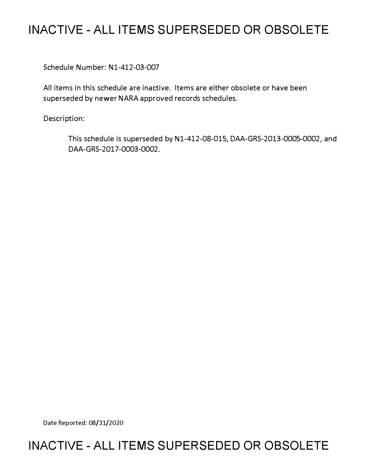# **INACTIVE - ALL ITEMS SUPERSEDED OR OBSOLETE**

Schedule Number: Nl-412-03-007

All items in this schedule are inactive. Items are either obsolete or have been superseded by newer NARA approved records schedules.

Description:

This schedule is superseded by Nl-412-08-015, DAA-GRS-2013-0005-0002, and DAA-GRS-2017-0003-0002.

Date Reported: 08/31/2020

# **INACTIVE - ALL ITEMS SUPERSEDED OR OBSOLETE**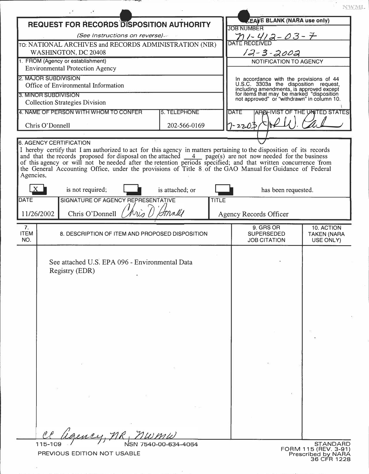| <b>REQUEST FOR RECORDS DISPOSITION AUTHORITY</b><br><b>JOB NUMBER</b><br><u>n 1 - 41 2 - 03 - 7</u><br>(See Instructions on reverse).<br><b>DATE RECEIVED</b><br>TO: NATIONAL ARCHIVES and RECORDS ADMINISTRATION (NIR)<br>$12 - 3 - 2002$<br>WASHINGTON, DC 20408<br>1. FROM (Agency or establishment)<br>NOTIFICATION TO AGENCY<br><b>Environmental Protection Agency</b><br>2. MAJOR SUBDIVISION<br>In accordance with the provisions of 44<br>U.S.C. 3303a the disposition request,<br>including amendments, is approved except<br>for items that may be marked "disposition<br>not approved" or "withdrawn" in column 10.<br>Office of Environmental Information<br>3. MINOR SUBDIVISION<br><b>Collection Strategies Division</b><br>4. NAME OF PERSON WITH WHOM TO CONFER<br>5. TELEPHONE<br><b>DATE</b><br>$-2205$<br>Chris O'Donnell<br>202-566-0169<br>I hereby certify that I am authorized to act for this agency in matters pertaining to the disposition of its records<br>and that the records proposed for disposal on the attached $\frac{4}{\sqrt{2}}$ page(s) are not now needed for the business<br>of this agency or will not be needed after the retention periods specified; and that written concurrence 'from<br>the General Accounting Office, under the provisions of Title 8 of the GAO Manual for Guidance of Federal<br>Agencies,<br>is not required;<br>is attached; or<br>has been requested.<br>SIGNATURE OF AGENCY REPRESENTATIVE<br><b>DATE</b><br><b>TITLE</b><br>tonnell<br>11/26/2002<br>Chris O'Donnell<br>Agency Records Officer<br>7.<br>9. GRS OR<br>10. ACTION<br><b>ITEM</b><br>8. DESCRIPTION OF ITEM AND PROPOSED DISPOSITION<br><b>SUPERSEDED</b><br><b>TAKEN (NARA</b><br>NO.<br><b>JOB CITATION</b><br>USE ONLY)<br>See attached U.S. EPA 096 - Environmental Data<br>Registry (EDR) |                                |  |  |  |                                   | NWML |  |
|--------------------------------------------------------------------------------------------------------------------------------------------------------------------------------------------------------------------------------------------------------------------------------------------------------------------------------------------------------------------------------------------------------------------------------------------------------------------------------------------------------------------------------------------------------------------------------------------------------------------------------------------------------------------------------------------------------------------------------------------------------------------------------------------------------------------------------------------------------------------------------------------------------------------------------------------------------------------------------------------------------------------------------------------------------------------------------------------------------------------------------------------------------------------------------------------------------------------------------------------------------------------------------------------------------------------------------------------------------------------------------------------------------------------------------------------------------------------------------------------------------------------------------------------------------------------------------------------------------------------------------------------------------------------------------------------------------------------------------------------------------------------------------------------------------------------------------------|--------------------------------|--|--|--|-----------------------------------|------|--|
|                                                                                                                                                                                                                                                                                                                                                                                                                                                                                                                                                                                                                                                                                                                                                                                                                                                                                                                                                                                                                                                                                                                                                                                                                                                                                                                                                                                                                                                                                                                                                                                                                                                                                                                                                                                                                                      |                                |  |  |  | <b>EAFE BLANK (NARA use only)</b> |      |  |
|                                                                                                                                                                                                                                                                                                                                                                                                                                                                                                                                                                                                                                                                                                                                                                                                                                                                                                                                                                                                                                                                                                                                                                                                                                                                                                                                                                                                                                                                                                                                                                                                                                                                                                                                                                                                                                      |                                |  |  |  |                                   |      |  |
|                                                                                                                                                                                                                                                                                                                                                                                                                                                                                                                                                                                                                                                                                                                                                                                                                                                                                                                                                                                                                                                                                                                                                                                                                                                                                                                                                                                                                                                                                                                                                                                                                                                                                                                                                                                                                                      |                                |  |  |  |                                   |      |  |
|                                                                                                                                                                                                                                                                                                                                                                                                                                                                                                                                                                                                                                                                                                                                                                                                                                                                                                                                                                                                                                                                                                                                                                                                                                                                                                                                                                                                                                                                                                                                                                                                                                                                                                                                                                                                                                      |                                |  |  |  |                                   |      |  |
|                                                                                                                                                                                                                                                                                                                                                                                                                                                                                                                                                                                                                                                                                                                                                                                                                                                                                                                                                                                                                                                                                                                                                                                                                                                                                                                                                                                                                                                                                                                                                                                                                                                                                                                                                                                                                                      |                                |  |  |  |                                   |      |  |
|                                                                                                                                                                                                                                                                                                                                                                                                                                                                                                                                                                                                                                                                                                                                                                                                                                                                                                                                                                                                                                                                                                                                                                                                                                                                                                                                                                                                                                                                                                                                                                                                                                                                                                                                                                                                                                      |                                |  |  |  |                                   |      |  |
|                                                                                                                                                                                                                                                                                                                                                                                                                                                                                                                                                                                                                                                                                                                                                                                                                                                                                                                                                                                                                                                                                                                                                                                                                                                                                                                                                                                                                                                                                                                                                                                                                                                                                                                                                                                                                                      |                                |  |  |  |                                   |      |  |
|                                                                                                                                                                                                                                                                                                                                                                                                                                                                                                                                                                                                                                                                                                                                                                                                                                                                                                                                                                                                                                                                                                                                                                                                                                                                                                                                                                                                                                                                                                                                                                                                                                                                                                                                                                                                                                      |                                |  |  |  |                                   |      |  |
|                                                                                                                                                                                                                                                                                                                                                                                                                                                                                                                                                                                                                                                                                                                                                                                                                                                                                                                                                                                                                                                                                                                                                                                                                                                                                                                                                                                                                                                                                                                                                                                                                                                                                                                                                                                                                                      |                                |  |  |  | ARCHIVIST OF THE UNITED STATES    |      |  |
|                                                                                                                                                                                                                                                                                                                                                                                                                                                                                                                                                                                                                                                                                                                                                                                                                                                                                                                                                                                                                                                                                                                                                                                                                                                                                                                                                                                                                                                                                                                                                                                                                                                                                                                                                                                                                                      |                                |  |  |  |                                   |      |  |
|                                                                                                                                                                                                                                                                                                                                                                                                                                                                                                                                                                                                                                                                                                                                                                                                                                                                                                                                                                                                                                                                                                                                                                                                                                                                                                                                                                                                                                                                                                                                                                                                                                                                                                                                                                                                                                      |                                |  |  |  |                                   |      |  |
|                                                                                                                                                                                                                                                                                                                                                                                                                                                                                                                                                                                                                                                                                                                                                                                                                                                                                                                                                                                                                                                                                                                                                                                                                                                                                                                                                                                                                                                                                                                                                                                                                                                                                                                                                                                                                                      | <b>6. AGENCY CERTIFICATION</b> |  |  |  |                                   |      |  |
|                                                                                                                                                                                                                                                                                                                                                                                                                                                                                                                                                                                                                                                                                                                                                                                                                                                                                                                                                                                                                                                                                                                                                                                                                                                                                                                                                                                                                                                                                                                                                                                                                                                                                                                                                                                                                                      |                                |  |  |  |                                   |      |  |
|                                                                                                                                                                                                                                                                                                                                                                                                                                                                                                                                                                                                                                                                                                                                                                                                                                                                                                                                                                                                                                                                                                                                                                                                                                                                                                                                                                                                                                                                                                                                                                                                                                                                                                                                                                                                                                      |                                |  |  |  |                                   |      |  |
|                                                                                                                                                                                                                                                                                                                                                                                                                                                                                                                                                                                                                                                                                                                                                                                                                                                                                                                                                                                                                                                                                                                                                                                                                                                                                                                                                                                                                                                                                                                                                                                                                                                                                                                                                                                                                                      |                                |  |  |  |                                   |      |  |
|                                                                                                                                                                                                                                                                                                                                                                                                                                                                                                                                                                                                                                                                                                                                                                                                                                                                                                                                                                                                                                                                                                                                                                                                                                                                                                                                                                                                                                                                                                                                                                                                                                                                                                                                                                                                                                      |                                |  |  |  |                                   |      |  |
|                                                                                                                                                                                                                                                                                                                                                                                                                                                                                                                                                                                                                                                                                                                                                                                                                                                                                                                                                                                                                                                                                                                                                                                                                                                                                                                                                                                                                                                                                                                                                                                                                                                                                                                                                                                                                                      |                                |  |  |  |                                   |      |  |
|                                                                                                                                                                                                                                                                                                                                                                                                                                                                                                                                                                                                                                                                                                                                                                                                                                                                                                                                                                                                                                                                                                                                                                                                                                                                                                                                                                                                                                                                                                                                                                                                                                                                                                                                                                                                                                      |                                |  |  |  |                                   |      |  |
|                                                                                                                                                                                                                                                                                                                                                                                                                                                                                                                                                                                                                                                                                                                                                                                                                                                                                                                                                                                                                                                                                                                                                                                                                                                                                                                                                                                                                                                                                                                                                                                                                                                                                                                                                                                                                                      |                                |  |  |  |                                   |      |  |
|                                                                                                                                                                                                                                                                                                                                                                                                                                                                                                                                                                                                                                                                                                                                                                                                                                                                                                                                                                                                                                                                                                                                                                                                                                                                                                                                                                                                                                                                                                                                                                                                                                                                                                                                                                                                                                      |                                |  |  |  |                                   |      |  |

**PREVIOUS EDITION NOT USABLE** 

30

**36 CFR 1228**<br>**36 CFR 1228**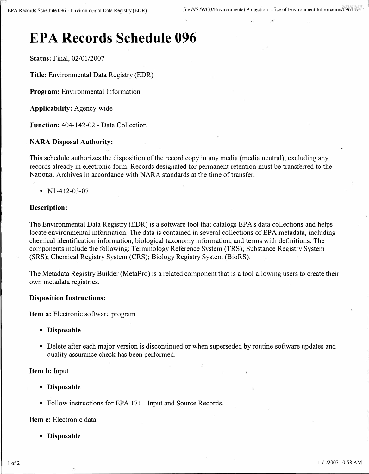# **EPA Records Schedule 096**

**Status:** Final, 02/01/2007

**Title:** Environmental Data Registry (EDR)

**Program:** Environmental Information

**Applicability:** Agency-wide

**Function:** 404-142-02 - Data Collection

### **NARA Disposal Authority:**

This schedule authorizes the disposition of the record copy in any media (media neutral), excluding any records already in electronic form. Records designated for permanent retention must be transferred to the National Archives in accordance with NARA standards at the time of transfer.

# • N<sub>1</sub>-412-03-07

### **Description:**

The Environmental Data Registry (EDR) is a software tool that catalogs EP A's data collections and helps locate environmental information. The data is contained in several collections of EPA metadata, including chemical identification information, biological taxonomy information, and terms with definitions. The components include the following: Terminology Reference System (TRS); Substance Registry System (SRS); Chemical Registry System (CRS); Biology Registry System (BioRS).

The Metadata Registry Builder (MetaPro) is a related component that is a tool allowing users to create their own metadata registries.

#### **Disposition Instructions:**

**Item a:** Electronic software program

- **Disposable**
- Delete after each major version is discontinued or when superseded by routine software updates and quality assurance check has been performed.

#### **Item b:** Input

- **Disposable**
- Follow instructions for EPA 171 Input and Source Records.

#### **Item c:** Electronic data

**• Disposable**